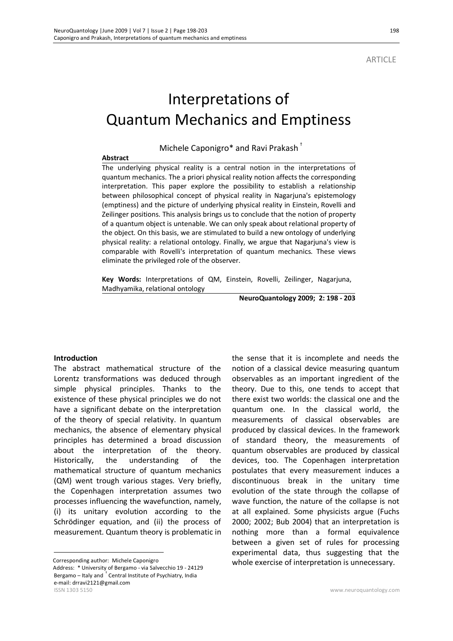**ARTICLE** 

# Interpretations of Quantum Mechanics and Emptiness

Michele Caponigro\* and Ravi Prakash †

#### **Abstract**

The underlying physical reality is a central notion in the interpretations of quantum mechanics. The a priori physical reality notion affects the corresponding interpretation. This paper explore the possibility to establish a relationship between philosophical concept of physical reality in Nagarjuna's epistemology (emptiness) and the picture of underlying physical reality in Einstein, Rovelli and Zeilinger positions. This analysis brings us to conclude that the notion of property of a quantum object is untenable. We can only speak about relational property of the object. On this basis, we are stimulated to build a new ontology of underlying physical reality: a relational ontology. Finally, we argue that Nagarjuna's view is comparable with Rovelli's interpretation of quantum mechanics. These views eliminate the privileged role of the observer.

**Key Words:** Interpretations of QM, Einstein, Rovelli, Zeilinger, Nagarjuna, Madhyamika, relational ontology

**NeuroQuantology 2009; 2: 198 - 203**

#### **Introduction**

 $\overline{a}$ 

The abstract mathematical structure of the Lorentz transformations was deduced through simple physical principles. Thanks to the existence of these physical principles we do not have a significant debate on the interpretation of the theory of special relativity. In quantum mechanics, the absence of elementary physical principles has determined a broad discussion about the interpretation of the theory. Historically, the understanding of the mathematical structure of quantum mechanics (QM) went trough various stages. Very briefly, the Copenhagen interpretation assumes two processes influencing the wavefunction, namely, (i) its unitary evolution according to the Schrödinger equation, and (ii) the process of measurement. Quantum theory is problematic in

ISSN 1303 5150 www.neuroquantology.com Corresponding author: Michele Caponigro Address: \* University of Bergamo - via Salvecchio 19 - 24129 Bergamo – Italy and † Central Institute of Psychiatry, India e-mail: drravi2121@gmail.com

the sense that it is incomplete and needs the notion of a classical device measuring quantum observables as an important ingredient of the theory. Due to this, one tends to accept that there exist two worlds: the classical one and the quantum one. In the classical world, the measurements of classical observables are produced by classical devices. In the framework of standard theory, the measurements of quantum observables are produced by classical devices, too. The Copenhagen interpretation postulates that every measurement induces a discontinuous break in the unitary time evolution of the state through the collapse of wave function, the nature of the collapse is not at all explained. Some physicists argue (Fuchs 2000; 2002; Bub 2004) that an interpretation is nothing more than a formal equivalence between a given set of rules for processing experimental data, thus suggesting that the whole exercise of interpretation is unnecessary.

198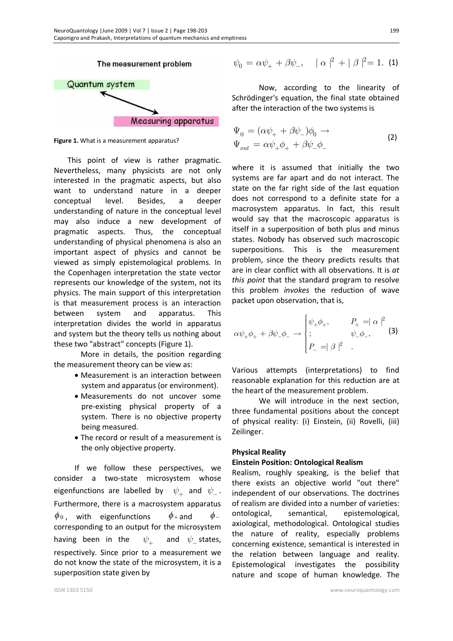

**Figure 1.** What is a measurement apparatus?

This point of view is rather pragmatic. Nevertheless, many physicists are not only interested in the pragmatic aspects, but also want to understand nature in a deeper conceptual level. Besides, a deeper understanding of nature in the conceptual level may also induce a new development of pragmatic aspects. Thus, the conceptual understanding of physical phenomena is also an important aspect of physics and cannot be viewed as simply epistemological problems. In the Copenhagen interpretation the state vector represents our knowledge of the system, not its physics. The main support of this interpretation is that measurement process is an interaction between system and apparatus. This interpretation divides the world in apparatus and system but the theory tells us nothing about these two "abstract" concepts (Figure 1).

More in details, the position regarding the measurement theory can be view as:

- · Measurement is an interaction between system and apparatus (or environment).
- · Measurements do not uncover some pre-existing physical property of a system. There is no objective property being measured.
- · The record or result of a measurement is the only objective property.

If we follow these perspectives, we consider a two-state microsystem whose eigenfunctions are labelled by  $\psi_{+}^{\vphantom{\dag}}$  and  $\psi_{-}^{\vphantom{\dag}}$ . Furthermore, there is a macrosystem apparatus  $\phi_0$ , with eigenfunctions  $\phi_+$  and  $\phi_$ corresponding to an output for the microsystem having been in the  $\psi_{+}$ and  $\psi$  states, respectively. Since prior to a measurement we do not know the state of the microsystem, it is a superposition state given by

$$
\psi_0 = \alpha \psi_+ + \beta \psi_-, \quad |\alpha|^2 + |\beta|^2 = 1.
$$
 (1)

Now, according to the linearity of Schrödinger's equation, the final state obtained after the interaction of the two systems is

$$
\Psi_0 = (\alpha \psi_+ + \beta \psi_-)\phi_0 \rightarrow
$$
  
\n
$$
\Psi_{out} = \alpha \psi_+ \phi_+ + \beta \psi_- \phi_-
$$
\n(2)

where it is assumed that initially the two systems are far apart and do not interact. The state on the far right side of the last equation does not correspond to a definite state for a macrosystem apparatus. In fact, this result would say that the macroscopic apparatus is itself in a superposition of both plus and minus states. Nobody has observed such macroscopic superpositions. This is the measurement problem, since the theory predicts results that are in clear conflict with all observations. It is *at this point* that the standard program to resolve this problem *invokes* the reduction of wave packet upon observation, that is,

$$
\alpha \psi_{+} \phi_{+} + \beta \psi_{-} \phi_{-} \rightarrow \begin{cases} \psi_{+} \phi_{+}, & P_{+} = |\alpha|^{2} \\ ; & \psi_{-} \phi_{-}, \\ P_{-} = |\beta|^{2} \end{cases}
$$
 (3)

Various attempts (interpretations) to find reasonable explanation for this reduction are at the heart of the measurement problem.

We will introduce in the next section, three fundamental positions about the concept of physical reality: (i) Einstein, (ii) Rovelli, (iii) Zeilinger.

#### **Physical Reality**

#### **Einstein Position: Ontological Realism**

Realism, roughly speaking, is the belief that there exists an objective world "out there" independent of our observations. The doctrines of realism are divided into a number of varieties: ontological, semantical, epistemological, axiological, methodological. Ontological studies the nature of reality, especially problems concerning existence, semantical is interested in the relation between language and reality. Epistemological investigates the possibility nature and scope of human knowledge. The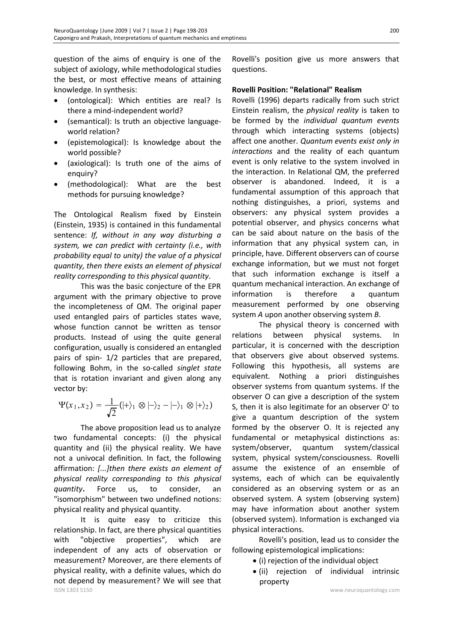question of the aims of enquiry is one of the subject of axiology, while methodological studies the best, or most effective means of attaining knowledge. In synthesis:

- (ontological): Which entities are real? Is there a mind-independent world?
- · (semantical): Is truth an objective languageworld relation?
- · (epistemological): Is knowledge about the world possible?
- (axiological): Is truth one of the aims of enquiry?
- (methodological): What are the best methods for pursuing knowledge?

The Ontological Realism fixed by Einstein (Einstein, 1935) is contained in this fundamental sentence: *If, without in any way disturbing a system, we can predict with certainty (i.e., with probability equal to unity) the value of a physical quantity, then there exists an element of physical reality corresponding to this physical quantity*.

This was the basic conjecture of the EPR argument with the primary objective to prove the incompleteness of QM. The original paper used entangled pairs of particles states wave, whose function cannot be written as tensor products. Instead of using the quite general configuration, usually is considered an entangled pairs of spin- 1/2 particles that are prepared, following Bohm, in the so-called *singlet state* that is rotation invariant and given along any vector by:

$$
\Psi(x_1,x_2) = \frac{1}{\sqrt{2}}(|+\rangle_1 \otimes |-\rangle_2 - |-\rangle_1 \otimes |+\rangle_2)
$$

The above proposition lead us to analyze two fundamental concepts: (i) the physical quantity and (ii) the physical reality. We have not a univocal definition. In fact, the following affirmation: *[...]then there exists an element of physical reality corresponding to this physical quantity***.** Force us, to consider, an "isomorphism" between two undefined notions: physical reality and physical quantity.

ISSN 1303 5150 www.neuroquantology.com It is quite easy to criticize this relationship. In fact, are there physical quantities with "objective properties", which are independent of any acts of observation or measurement? Moreover, are there elements of physical reality, with a definite values, which do not depend by measurement? We will see that

Rovelli's position give us more answers that questions.

## **Rovelli Position: "Relational" Realism**

Rovelli (1996) departs radically from such strict Einstein realism, the *physical reality* is taken to be formed by the *individual quantum events* through which interacting systems (objects) affect one another. *Quantum events exist only in interactions* and the reality of each quantum event is only relative to the system involved in the interaction. In Relational QM, the preferred observer is abandoned. Indeed, it is a fundamental assumption of this approach that nothing distinguishes, a priori, systems and observers: any physical system provides a potential observer, and physics concerns what can be said about nature on the basis of the information that any physical system can, in principle, have. Different observers can of course exchange information, but we must not forget that such information exchange is itself a quantum mechanical interaction. An exchange of information is therefore a quantum measurement performed by one observing system *A* upon another observing system *B*.

The physical theory is concerned with relations between physical systems. In particular, it is concerned with the description that observers give about observed systems. Following this hypothesis, all systems are equivalent. Nothing a priori distinguishes observer systems from quantum systems. If the observer O can give a description of the system S, then it is also legitimate for an observer O' to give a quantum description of the system formed by the observer O. It is rejected any fundamental or metaphysical distinctions as: system/observer, quantum system/classical system, physical system/consciousness. Rovelli assume the existence of an ensemble of systems, each of which can be equivalently considered as an observing system or as an observed system. A system (observing system) may have information about another system (observed system). Information is exchanged via physical interactions.

Rovelli's position, lead us to consider the following epistemological implications:

- · (i) rejection of the individual object
- · (ii) rejection of individual intrinsic property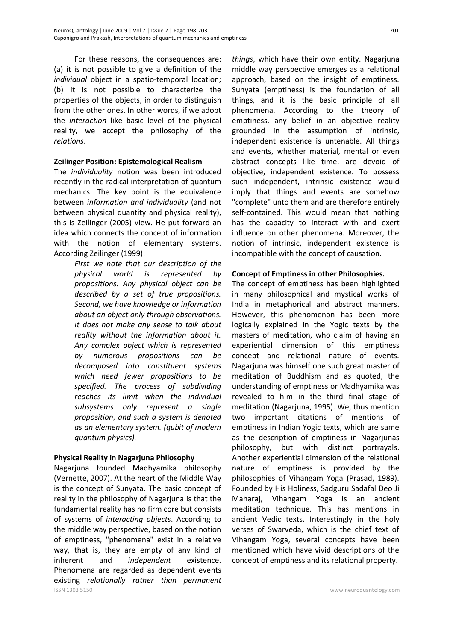For these reasons, the consequences are: (a) it is not possible to give a definition of the *individual* object in a spatio-temporal location; (b) it is not possible to characterize the properties of the objects, in order to distinguish from the other ones. In other words, if we adopt the *interaction* like basic level of the physical reality, we accept the philosophy of the *relations*.

## **Zeilinger Position: Epistemological Realism**

The *individuality* notion was been introduced recently in the radical interpretation of quantum mechanics. The key point is the equivalence between *information and individuality* (and not between physical quantity and physical reality), this is Zeilinger (2005) view. He put forward an idea which connects the concept of information with the notion of elementary systems. According Zeilinger (1999):

> *First we note that our description of the physical world is represented by propositions. Any physical object can be described by a set of true propositions. Second, we have knowledge or information about an object only through observations. It does not make any sense to talk about reality without the information about it. Any complex object which is represented by numerous propositions can be decomposed into constituent systems which need fewer propositions to be specified. The process of subdividing reaches its limit when the individual subsystems only represent a single proposition, and such a system is denoted as an elementary system. (qubit of modern quantum physics).*

### **Physical Reality in Nagarjuna Philosophy**

ISSN 1303 5150 www.neuroquantology.com Nagarjuna founded Madhyamika philosophy (Vernette, 2007). At the heart of the Middle Way is the concept of Sunyata. The basic concept of reality in the philosophy of Nagarjuna is that the fundamental reality has no firm core but consists of systems of *interacting objects*. According to the middle way perspective, based on the notion of emptiness, "phenomena" exist in a relative way, that is, they are empty of any kind of inherent and *independent* existence. Phenomena are regarded as dependent events existing *relationally rather than permanent* 

*things*, which have their own entity. Nagarjuna middle way perspective emerges as a relational approach, based on the insight of emptiness. Sunyata (emptiness) is the foundation of all things, and it is the basic principle of all phenomena. According to the theory of emptiness, any belief in an objective reality grounded in the assumption of intrinsic, independent existence is untenable. All things and events, whether material, mental or even abstract concepts like time, are devoid of objective, independent existence. To possess such independent, intrinsic existence would imply that things and events are somehow "complete" unto them and are therefore entirely self-contained. This would mean that nothing has the capacity to interact with and exert influence on other phenomena. Moreover, the notion of intrinsic, independent existence is incompatible with the concept of causation.

## **Concept of Emptiness in other Philosophies.**

The concept of emptiness has been highlighted in many philosophical and mystical works of India in metaphorical and abstract manners. However, this phenomenon has been more logically explained in the Yogic texts by the masters of meditation, who claim of having an experiential dimension of this emptiness concept and relational nature of events. Nagarjuna was himself one such great master of meditation of Buddhism and as quoted, the understanding of emptiness or Madhyamika was revealed to him in the third final stage of meditation (Nagarjuna, 1995). We, thus mention two important citations of mentions of emptiness in Indian Yogic texts, which are same as the description of emptiness in Nagarjunas philosophy, but with distinct portrayals. Another experiential dimension of the relational nature of emptiness is provided by the philosophies of Vihangam Yoga (Prasad, 1989). Founded by His Holiness, Sadguru Sadafal Deo Ji Maharaj, Vihangam Yoga is an ancient meditation technique. This has mentions in ancient Vedic texts. Interestingly in the holy verses of Swarveda, which is the chief text of Vihangam Yoga, several concepts have been mentioned which have vivid descriptions of the concept of emptiness and its relational property.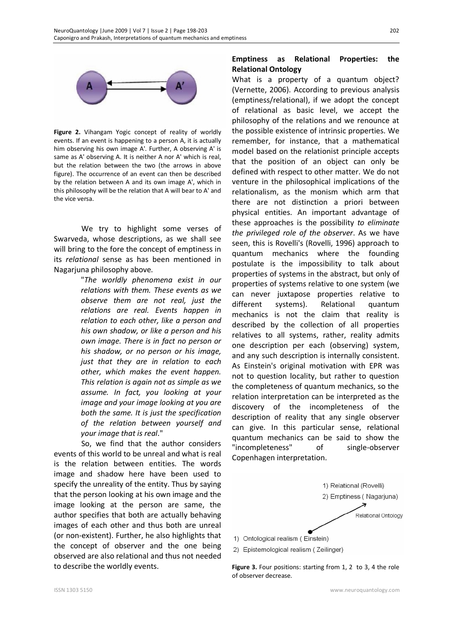

**Figure 2.** Vihangam Yogic concept of reality of worldly events. If an event is happening to a person A, it is actually him observing his own image A'. Further, A observing A' is same as A' observing A. It is neither A nor A' which is real, but the relation between the two (the arrows in above figure). The occurrence of an event can then be described by the relation between A and its own image A', which in this philosophy will be the relation that A will bear to A' and the vice versa.

We try to highlight some verses of Swarveda, whose descriptions, as we shall see will bring to the fore the concept of emptiness in its *relational* sense as has been mentioned in Nagarjuna philosophy above.

> "*The worldly phenomena exist in our relations with them. These events as we observe them are not real, just the relations are real. Events happen in relation to each other, like a person and his own shadow, or like a person and his own image. There is in fact no person or his shadow, or no person or his image, just that they are in relation to each other, which makes the event happen. This relation is again not as simple as we assume. In fact, you looking at your image and your image looking at you are both the same. It is just the specification of the relation between yourself and your image that is real*."

So, we find that the author considers events of this world to be unreal and what is real is the relation between entities. The words image and shadow here have been used to specify the unreality of the entity. Thus by saying that the person looking at his own image and the image looking at the person are same, the author specifies that both are actually behaving images of each other and thus both are unreal (or non-existent). Further, he also highlights that the concept of observer and the one being observed are also relational and thus not needed to describe the worldly events.

## **Emptiness as Relational Properties: the Relational Ontology**

What is a property of a quantum object? (Vernette, 2006). According to previous analysis (emptiness/relational), if we adopt the concept of relational as basic level, we accept the philosophy of the relations and we renounce at the possible existence of intrinsic properties. We remember, for instance, that a mathematical model based on the relationist principle accepts that the position of an object can only be defined with respect to other matter. We do not venture in the philosophical implications of the relationalism, as the monism which arm that there are not distinction a priori between physical entities. An important advantage of these approaches is the possibility *to eliminate the privileged role of the observer*. As we have seen, this is Rovelli's (Rovelli, 1996) approach to quantum mechanics where the founding postulate is the impossibility to talk about properties of systems in the abstract, but only of properties of systems relative to one system (we can never juxtapose properties relative to different systems). Relational quantum mechanics is not the claim that reality is described by the collection of all properties relatives to all systems, rather, reality admits one description per each (observing) system, and any such description is internally consistent. As Einstein's original motivation with EPR was not to question locality, but rather to question the completeness of quantum mechanics, so the relation interpretation can be interpreted as the discovery of the incompleteness of the description of reality that any single observer can give. In this particular sense, relational quantum mechanics can be said to show the "incompleteness" of single-observer Copenhagen interpretation.



**Figure 3.** Four positions: starting from 1, 2 to 3, 4 the role of observer decrease.